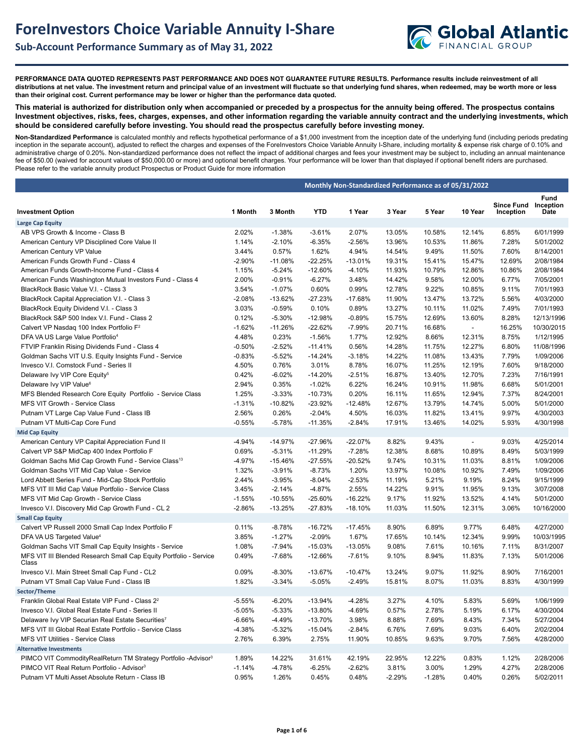

**PERFORMANCE DATA QUOTED REPRESENTS PAST PERFORMANCE AND DOES NOT GUARANTEE FUTURE RESULTS. Performance results include reinvestment of all distributions at net value. The investment return and principal value of an investment will fluctuate so that underlying fund shares, when redeemed, may be worth more or less than their original cost. Current performance may be lower or higher than the performance data quoted.**

**This material is authorized for distribution only when accompanied or preceded by a prospectus for the annuity being offered. The prospectus contains Investment objectives, risks, fees, charges, expenses, and other information regarding the variable annuity contract and the underlying investments, which should be considered carefully before investing. You should read the prospectus carefully before investing money.** 

**Non-Standardized Performance** is calculated monthly and reflects hypothetical performance of a \$1,000 investment from the inception date of the underlying fund (including periods predating inception in the separate account), adjusted to reflect the charges and expenses of the ForeInvestors Choice Variable Annuity I-Share, including mortality & expense risk charge of 0.10% and administrative charge of 0.20%. Non-standardized performance does not reflect the impact of additional charges and fees your investment may be subject to, including an annual maintenance fee of \$50.00 (waived for account values of \$50,000.00 or more) and optional benefit charges. Your performance will be lower than that displayed if optional benefit riders are purchased. Please refer to the variable annuity product Prospectus or Product Guide for more information

|                                                                                                |          |           | Monthly Non-Standardized Performance as of 05/31/2022 |           |          |          |                          |                                |                           |
|------------------------------------------------------------------------------------------------|----------|-----------|-------------------------------------------------------|-----------|----------|----------|--------------------------|--------------------------------|---------------------------|
| <b>Investment Option</b>                                                                       | 1 Month  | 3 Month   | <b>YTD</b>                                            | 1 Year    | 3 Year   | 5 Year   | 10 Year                  | <b>Since Fund</b><br>Inception | Fund<br>Inception<br>Date |
| <b>Large Cap Equity</b>                                                                        |          |           |                                                       |           |          |          |                          |                                |                           |
| AB VPS Growth & Income - Class B                                                               | 2.02%    | $-1.38%$  | $-3.61%$                                              | 2.07%     | 13.05%   | 10.58%   | 12.14%                   | 6.85%                          | 6/01/1999                 |
| American Century VP Disciplined Core Value II                                                  | 1.14%    | $-2.10%$  | $-6.35%$                                              | $-2.56%$  | 13.96%   | 10.53%   | 11.86%                   | 7.28%                          | 5/01/2002                 |
| American Century VP Value                                                                      | 3.44%    | 0.57%     | 1.62%                                                 | 4.94%     | 14.54%   | 9.49%    | 11.50%                   | 7.60%                          | 8/14/2001                 |
| American Funds Growth Fund - Class 4                                                           | $-2.90%$ | $-11.08%$ | $-22.25%$                                             | $-13.01%$ | 19.31%   | 15.41%   | 15.47%                   | 12.69%                         | 2/08/1984                 |
| American Funds Growth-Income Fund - Class 4                                                    | 1.15%    | $-5.24%$  | $-12.60%$                                             | $-4.10%$  | 11.93%   | 10.79%   | 12.86%                   | 10.86%                         | 2/08/1984                 |
| American Funds Washington Mutual Investors Fund - Class 4                                      | 2.00%    | $-0.91%$  | $-6.27%$                                              | 3.48%     | 14.42%   | 9.58%    | 12.00%                   | 6.77%                          | 7/05/2001                 |
| BlackRock Basic Value V.I. - Class 3                                                           | 3.54%    | $-1.07%$  | 0.60%                                                 | 0.99%     | 12.78%   | 9.22%    | 10.85%                   | 9.11%                          | 7/01/1993                 |
| BlackRock Capital Appreciation V.I. - Class 3                                                  | $-2.08%$ | $-13.62%$ | $-27.23%$                                             | -17.68%   | 11.90%   | 13.47%   | 13.72%                   | 5.56%                          | 4/03/2000                 |
| BlackRock Equity Dividend V.I. - Class 3                                                       | 3.03%    | $-0.59%$  | 0.10%                                                 | 0.89%     | 13.27%   | 10.11%   | 11.02%                   | 7.49%                          | 7/01/1993                 |
| BlackRock S&P 500 Index V.I. Fund - Class 2                                                    | 0.12%    | $-5.30%$  | -12.98%                                               | $-0.89%$  | 15.75%   | 12.69%   | 13.60%                   | 8.28%                          | 12/13/1996                |
| Calvert VP Nasdaq 100 Index Portfolio F <sup>2</sup>                                           | $-1.62%$ | $-11.26%$ | $-22.62%$                                             | $-7.99%$  | 20.71%   | 16.68%   | $\blacksquare$           | 16.25%                         | 10/30/2015                |
| DFA VA US Large Value Portfolio <sup>4</sup>                                                   | 4.48%    | 0.23%     | $-1.56%$                                              | 1.77%     | 12.92%   | 8.66%    | 12.31%                   | 8.75%                          | 1/12/1995                 |
| FTVIP Franklin Rising Dividends Fund - Class 4                                                 | $-0.50%$ | $-2.52%$  | $-11.41%$                                             | 0.56%     | 14.28%   | 11.75%   | 12.27%                   | 6.80%                          | 11/08/1996                |
| Goldman Sachs VIT U.S. Equity Insights Fund - Service                                          | $-0.83%$ | $-5.52%$  | $-14.24%$                                             | $-3.18%$  | 14.22%   | 11.08%   | 13.43%                   | 7.79%                          | 1/09/2006                 |
| Invesco V.I. Comstock Fund - Series II                                                         | 4.50%    | 0.76%     | 3.01%                                                 | 8.78%     | 16.07%   | 11.25%   | 12.19%                   | 7.60%                          | 9/18/2000                 |
| Delaware Ivy VIP Core Equity <sup>5</sup>                                                      | 0.42%    | $-6.02%$  | $-14.20%$                                             | $-2.51%$  | 16.87%   | 13.40%   | 12.70%                   | 7.23%                          | 7/16/1991                 |
| Delaware Ivy VIP Value <sup>6</sup>                                                            | 2.94%    | 0.35%     | $-1.02%$                                              | 6.22%     | 16.24%   | 10.91%   | 11.98%                   | 6.68%                          | 5/01/2001                 |
| MFS Blended Research Core Equity Portfolio - Service Class                                     | 1.25%    | $-3.33%$  | $-10.73%$                                             | 0.20%     | 16.11%   | 11.65%   | 12.94%                   | 7.37%                          | 8/24/2001                 |
| MFS VIT Growth - Service Class                                                                 | $-1.31%$ | $-10.82%$ | $-23.92%$                                             | $-12.48%$ | 12.67%   | 13.79%   | 14.74%                   | 5.00%                          | 5/01/2000                 |
| Putnam VT Large Cap Value Fund - Class IB                                                      | 2.56%    | 0.26%     | $-2.04%$                                              | 4.50%     | 16.03%   | 11.82%   | 13.41%                   | 9.97%                          | 4/30/2003                 |
| Putnam VT Multi-Cap Core Fund                                                                  | $-0.55%$ | $-5.78%$  | $-11.35%$                                             | $-2.84%$  | 17.91%   | 13.46%   | 14.02%                   | 5.93%                          | 4/30/1998                 |
| <b>Mid Cap Equity</b>                                                                          |          |           |                                                       |           |          |          |                          |                                |                           |
| American Century VP Capital Appreciation Fund II                                               | -4.94%   | $-14.97%$ | $-27.96%$                                             | -22.07%   | 8.82%    | 9.43%    | $\overline{\phantom{a}}$ | 9.03%                          | 4/25/2014                 |
| Calvert VP S&P MidCap 400 Index Portfolio F                                                    | 0.69%    | $-5.31%$  | $-11.29%$                                             | $-7.28%$  | 12.38%   | 8.68%    | 10.89%                   | 8.49%                          | 5/03/1999                 |
| Goldman Sachs Mid Cap Growth Fund - Service Class <sup>13</sup>                                | $-4.97%$ | $-15.46%$ | $-27.55%$                                             | -20.52%   | 9.74%    | 10.31%   | 11.03%                   | 8.81%                          | 1/09/2006                 |
| Goldman Sachs VIT Mid Cap Value - Service                                                      | 1.32%    | $-3.91%$  | $-8.73%$                                              | 1.20%     | 13.97%   | 10.08%   | 10.92%                   | 7.49%                          | 1/09/2006                 |
| Lord Abbett Series Fund - Mid-Cap Stock Portfolio                                              | 2.44%    | $-3.95%$  | $-8.04%$                                              | $-2.53%$  | 11.19%   | 5.21%    | 9.19%                    | 8.24%                          | 9/15/1999                 |
| MFS VIT III Mid Cap Value Portfolio - Service Class                                            | 3.45%    | $-2.14%$  | $-4.87%$                                              | 2.55%     | 14.22%   | 9.91%    | 11.95%                   | 9.13%                          | 3/07/2008                 |
| MFS VIT Mid Cap Growth - Service Class                                                         | $-1.55%$ | $-10.55%$ | -25.60%                                               | $-16.22%$ | 9.17%    | 11.92%   | 13.52%                   | 4.14%                          | 5/01/2000                 |
| Invesco V.I. Discovery Mid Cap Growth Fund - CL 2                                              | $-2.86%$ | $-13.25%$ | -27.83%                                               | $-18.10%$ | 11.03%   | 11.50%   | 12.31%                   | 3.06%                          | 10/16/2000                |
| <b>Small Cap Equity</b>                                                                        |          |           |                                                       |           |          |          |                          |                                |                           |
| Calvert VP Russell 2000 Small Cap Index Portfolio F                                            | 0.11%    | $-8.78%$  | $-16.72%$                                             | $-17.45%$ | 8.90%    | 6.89%    | 9.77%                    | 6.48%                          | 4/27/2000                 |
|                                                                                                | 3.85%    | $-1.27%$  | $-2.09%$                                              | 1.67%     | 17.65%   | 10.14%   | 12.34%                   | 9.99%                          | 10/03/1995                |
| DFA VA US Targeted Value <sup>4</sup><br>Goldman Sachs VIT Small Cap Equity Insights - Service | 1.08%    | $-7.94%$  | $-15.03%$                                             | -13.05%   | 9.08%    | 7.61%    | 10.16%                   | 7.11%                          | 8/31/2007                 |
| MFS VIT III Blended Research Small Cap Equity Portfolio - Service<br>Class                     | 0.49%    | $-7.68%$  | -12.66%                                               | $-7.61%$  | 9.10%    | 8.94%    | 11.83%                   | 7.13%                          | 5/01/2006                 |
| Invesco V.I. Main Street Small Cap Fund - CL2                                                  | 0.09%    | $-8.30%$  | -13.67%                                               | $-10.47%$ | 13.24%   | 9.07%    | 11.92%                   | 8.90%                          | 7/16/2001                 |
| Putnam VT Small Cap Value Fund - Class IB                                                      | 1.82%    | $-3.34%$  | $-5.05%$                                              | $-2.49%$  | 15.81%   | 8.07%    | 11.03%                   | 8.83%                          | 4/30/1999                 |
| Sector/Theme                                                                                   |          |           |                                                       |           |          |          |                          |                                |                           |
| Franklin Global Real Estate VIP Fund - Class 2 <sup>2</sup>                                    | $-5.55%$ | $-6.20%$  | $-13.94%$                                             | $-4.28%$  | 3.27%    | 4.10%    | 5.83%                    | 5.69%                          | 1/06/1999                 |
| Invesco V.I. Global Real Estate Fund - Series II                                               | -5.05%   | $-5.33%$  | $-13.80%$                                             | -4.69%    | 0.57%    | 2.78%    | 5.19%                    | 6.17%                          | 4/30/2004                 |
| Delaware Ivy VIP Securian Real Estate Securities <sup>7</sup>                                  | -6.66%   | $-4.49%$  | -13.70%                                               | 3.98%     | 8.88%    | 7.69%    | 8.43%                    | 7.34%                          | 5/27/2004                 |
| MFS VIT III Global Real Estate Portfolio - Service Class                                       | -4.38%   | $-5.32%$  | $-15.04%$                                             | $-2.84%$  | 6.76%    | 7.69%    | 9.03%                    | 6.40%                          | 2/02/2004                 |
| <b>MFS VIT Utilities - Service Class</b>                                                       | 2.76%    | 6.39%     | 2.75%                                                 | 11.90%    | 10.85%   | 9.63%    | 9.70%                    | 7.56%                          | 4/28/2000                 |
| <b>Alternative Investments</b>                                                                 |          |           |                                                       |           |          |          |                          |                                |                           |
| PIMCO VIT CommodityRealReturn TM Strategy Portfolio -Advisor <sup>3</sup>                      | 1.89%    | 14.22%    | 31.61%                                                | 42.19%    | 22.95%   | 12.22%   | 0.83%                    | 1.12%                          | 2/28/2006                 |
| PIMCO VIT Real Return Portfolio - Advisor <sup>3</sup>                                         | $-1.14%$ | $-4.78%$  | $-6.25%$                                              | $-2.62%$  | 3.81%    | 3.00%    | 1.29%                    | 4.27%                          | 2/28/2006                 |
| Putnam VT Multi Asset Absolute Return - Class IB                                               | 0.95%    | 1.26%     | 0.45%                                                 | 0.48%     | $-2.29%$ | $-1.28%$ | 0.40%                    | 0.26%                          | 5/02/2011                 |
|                                                                                                |          |           |                                                       |           |          |          |                          |                                |                           |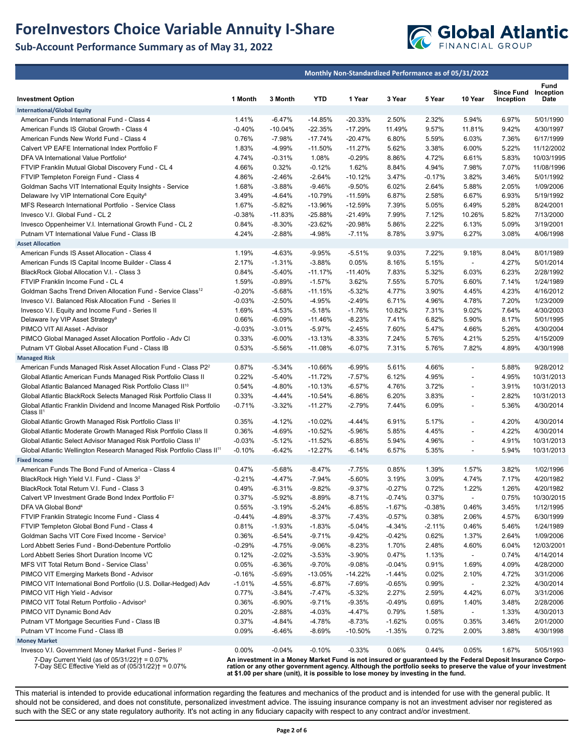# **ForeInvestors Choice Variable Annuity I-Share**

## **Sub-Account Performance Summary as of May 31, 2022**



|                                                                                                            |                   |                      | Monthly Non-Standardized Performance as of 05/31/2022 |                                                                                    |                 |                |                          |                                                                                                                                                                                                                           |                        |
|------------------------------------------------------------------------------------------------------------|-------------------|----------------------|-------------------------------------------------------|------------------------------------------------------------------------------------|-----------------|----------------|--------------------------|---------------------------------------------------------------------------------------------------------------------------------------------------------------------------------------------------------------------------|------------------------|
|                                                                                                            |                   |                      |                                                       |                                                                                    |                 |                |                          |                                                                                                                                                                                                                           | Fund                   |
| <b>Investment Option</b>                                                                                   | 1 Month           | 3 Month              | <b>YTD</b>                                            | 1 Year                                                                             | 3 Year          | 5 Year         | 10 Year                  | <b>Since Fund</b><br>Inception                                                                                                                                                                                            | Inception<br>Date      |
| <b>International/Global Equity</b>                                                                         |                   |                      |                                                       |                                                                                    |                 |                |                          |                                                                                                                                                                                                                           |                        |
| American Funds International Fund - Class 4                                                                | 1.41%             | $-6.47%$             | $-14.85%$                                             | -20.33%                                                                            | 2.50%           | 2.32%          | 5.94%                    | 6.97%                                                                                                                                                                                                                     | 5/01/1990              |
| American Funds IS Global Growth - Class 4                                                                  | $-0.40%$          | $-10.04%$            | $-22.35%$                                             | $-17.29%$                                                                          | 11.49%          | 9.57%          | 11.81%                   | 9.42%                                                                                                                                                                                                                     | 4/30/1997              |
| American Funds New World Fund - Class 4                                                                    | 0.76%             | $-7.98%$             | $-17.74%$                                             | $-20.47%$                                                                          | 6.80%           | 5.59%          | 6.03%                    | 7.36%                                                                                                                                                                                                                     | 6/17/1999              |
| Calvert VP EAFE International Index Portfolio F                                                            | 1.83%             | -4.99%               | $-11.50%$                                             | $-11.27%$                                                                          | 5.62%           | 3.38%          | 6.00%                    | 5.22%                                                                                                                                                                                                                     | 11/12/2002             |
| DFA VA International Value Portfolio <sup>4</sup>                                                          | 4.74%             | $-0.31%$             | 1.08%                                                 | $-0.29%$                                                                           | 8.86%           | 4.72%          | 6.61%                    | 5.83%                                                                                                                                                                                                                     | 10/03/1995             |
| FTVIP Franklin Mutual Global Discovery Fund - CL 4                                                         | 4.66%             | 0.32%                | $-0.12%$                                              | 1.62%                                                                              | 8.84%           | 4.94%          | 7.98%                    | 7.07%                                                                                                                                                                                                                     | 11/08/1996             |
| FTVIP Templeton Foreign Fund - Class 4                                                                     | 4.86%             | $-2.46%$             | $-2.64%$                                              | $-10.12%$                                                                          | 3.47%           | $-0.17%$       | 3.82%                    | 3.46%                                                                                                                                                                                                                     | 5/01/1992              |
| Goldman Sachs VIT International Equity Insights - Service                                                  | 1.68%             | $-3.88%$             | $-9.46%$                                              | $-9.50%$                                                                           | 6.02%           | 2.64%          | 5.88%                    | 2.05%                                                                                                                                                                                                                     | 1/09/2006              |
| Delaware Ivy VIP International Core Equity <sup>8</sup>                                                    | 3.49%             | $-4.64%$             | $-10.79%$                                             | $-11.59%$                                                                          | 6.87%           | 2.58%          | 6.67%                    | 6.93%                                                                                                                                                                                                                     | 5/19/1992              |
| MFS Research International Portfolio - Service Class                                                       | 1.67%             | $-5.82%$             | -13.96%                                               | $-12.59%$                                                                          | 7.39%           | 5.05%          | 6.49%                    | 5.28%                                                                                                                                                                                                                     | 8/24/2001              |
| Invesco V.I. Global Fund - CL 2                                                                            | $-0.38%$          | $-11.83%$            | $-25.88%$                                             | $-21.49%$                                                                          | 7.99%           | 7.12%          | 10.26%                   | 5.82%                                                                                                                                                                                                                     | 7/13/2000              |
| Invesco Oppenheimer V.I. International Growth Fund - CL 2                                                  | 0.84%             | $-8.30%$             | $-23.62%$                                             | $-20.98%$                                                                          | 5.86%           | 2.22%          | 6.13%                    | 5.09%                                                                                                                                                                                                                     | 3/19/2001              |
| Putnam VT International Value Fund - Class IB                                                              | 4.24%             | $-2.88%$             | $-4.98%$                                              | $-7.11%$                                                                           | 8.78%           | 3.97%          | 6.27%                    | 3.08%                                                                                                                                                                                                                     | 4/06/1998              |
| <b>Asset Allocation</b>                                                                                    |                   |                      |                                                       |                                                                                    |                 |                |                          |                                                                                                                                                                                                                           |                        |
| American Funds IS Asset Allocation - Class 4                                                               | 1.19%             | $-4.63%$             | $-9.95%$                                              | $-5.51%$                                                                           | 9.03%           | 7.22%          | 9.18%                    | 8.04%                                                                                                                                                                                                                     | 8/01/1989              |
| American Funds IS Capital Income Builder - Class 4                                                         | 2.17%             | $-1.31%$             | $-3.88%$                                              | 0.05%                                                                              | 8.16%           | 5.15%          | $\overline{\phantom{a}}$ | 4.27%                                                                                                                                                                                                                     | 5/01/2014              |
| BlackRock Global Allocation V.I. - Class 3                                                                 | 0.84%             | $-5.40%$             | $-11.17%$                                             | $-11.40%$                                                                          | 7.83%           | 5.32%          | 6.03%                    | 6.23%                                                                                                                                                                                                                     | 2/28/1992              |
| FTVIP Franklin Income Fund - CL 4                                                                          | 1.59%             | $-0.89%$             | $-1.57%$                                              | 3.62%                                                                              | 7.55%           | 5.70%          | 6.60%                    | 7.14%                                                                                                                                                                                                                     | 1/24/1989              |
| Goldman Sachs Trend Driven Allocation Fund - Service Class <sup>12</sup>                                   | $-0.20%$          | $-5.68%$             | $-11.15%$                                             | $-5.32%$                                                                           | 4.77%           | 3.90%          | 4.45%                    | 4.23%                                                                                                                                                                                                                     | 4/16/2012              |
| Invesco V.I. Balanced Risk Allocation Fund - Series II                                                     | $-0.03%$          | $-2.50%$             | $-4.95%$                                              | $-2.49%$                                                                           | 6.71%           | 4.96%          | 4.78%                    | 7.20%                                                                                                                                                                                                                     | 1/23/2009              |
| Invesco V.I. Equity and Income Fund - Series II                                                            | 1.69%<br>0.66%    | $-4.53%$<br>$-6.09%$ | $-5.18%$                                              | $-1.76%$                                                                           | 10.82%<br>7.41% | 7.31%<br>6.82% | 9.02%<br>5.90%           | 7.64%<br>8.17%                                                                                                                                                                                                            | 4/30/2003<br>5/01/1995 |
| Delaware Ivy VIP Asset Strategy <sup>9</sup><br>PIMCO VIT All Asset - Advisor                              | $-0.03%$          | $-3.01%$             | $-11.46%$<br>$-5.97%$                                 | $-8.23%$<br>$-2.45%$                                                               | 7.60%           | 5.47%          | 4.66%                    | 5.26%                                                                                                                                                                                                                     | 4/30/2004              |
| PIMCO Global Managed Asset Allocation Portfolio - Adv Cl                                                   | 0.33%             | $-6.00%$             | $-13.13%$                                             | $-8.33%$                                                                           | 7.24%           | 5.76%          | 4.21%                    | 5.25%                                                                                                                                                                                                                     | 4/15/2009              |
| Putnam VT Global Asset Allocation Fund - Class IB                                                          | 0.53%             | $-5.56%$             | $-11.08%$                                             | $-6.07%$                                                                           | 7.31%           | 5.76%          | 7.82%                    | 4.89%                                                                                                                                                                                                                     | 4/30/1998              |
| <b>Managed Risk</b>                                                                                        |                   |                      |                                                       |                                                                                    |                 |                |                          |                                                                                                                                                                                                                           |                        |
| American Funds Managed Risk Asset Allocation Fund - Class P2 <sup>2</sup>                                  | 0.87%             | $-5.34%$             | $-10.66%$                                             | $-6.99%$                                                                           | 5.61%           | 4.66%          | $\blacksquare$           | 5.88%                                                                                                                                                                                                                     | 9/28/2012              |
| Global Atlantic American Funds Managed Risk Portfolio Class II                                             | 0.22%             | $-5.40%$             | $-11.72%$                                             | $-7.57%$                                                                           | 6.12%           | 4.95%          |                          | 4.95%                                                                                                                                                                                                                     | 10/31/2013             |
| Global Atlantic Balanced Managed Risk Portfolio Class II <sup>10</sup>                                     | 0.54%             | $-4.80%$             | $-10.13%$                                             | $-6.57%$                                                                           | 4.76%           | 3.72%          | $\overline{\phantom{a}}$ | 3.91%                                                                                                                                                                                                                     | 10/31/2013             |
| Global Atlantic BlackRock Selects Managed Risk Portfolio Class II                                          | 0.33%             | $-4.44%$             | $-10.54%$                                             | $-6.86%$                                                                           | 6.20%           | 3.83%          | $\overline{\phantom{a}}$ | 2.82%                                                                                                                                                                                                                     | 10/31/2013             |
| Global Atlantic Franklin Dividend and Income Managed Risk Portfolio                                        | $-0.71%$          | $-3.32%$             | $-11.27%$                                             | $-2.79%$                                                                           | 7.44%           | 6.09%          |                          | 5.36%                                                                                                                                                                                                                     | 4/30/2014              |
| Class $II1$                                                                                                |                   |                      |                                                       |                                                                                    |                 |                |                          |                                                                                                                                                                                                                           |                        |
| Global Atlantic Growth Managed Risk Portfolio Class II <sup>1</sup>                                        | 0.35%             | $-4.12%$             | $-10.02%$                                             | $-4.44%$                                                                           | 6.91%           | 5.17%          | $\overline{a}$           | 4.20%                                                                                                                                                                                                                     | 4/30/2014              |
| Global Atlantic Moderate Growth Managed Risk Portfolio Class II                                            | 0.36%             | $-4.69%$             | $-10.52%$                                             | $-5.96%$                                                                           | 5.85%           | 4.45%          | $\overline{\phantom{a}}$ | 4.22%                                                                                                                                                                                                                     | 4/30/2014              |
| Global Atlantic Select Advisor Managed Risk Portfolio Class II <sup>1</sup>                                | $-0.03%$          | $-5.12%$             | $-11.52%$                                             | $-6.85%$                                                                           | 5.94%           | 4.96%          | $\overline{\phantom{a}}$ | 4.91%                                                                                                                                                                                                                     | 10/31/2013             |
| Global Atlantic Wellington Research Managed Risk Portfolio Class II <sup>11</sup>                          | $-0.10%$          | $-6.42%$             | $-12.27%$                                             | $-6.14%$                                                                           | 6.57%           | 5.35%          | $\overline{\phantom{a}}$ | 5.94%                                                                                                                                                                                                                     | 10/31/2013             |
| <b>Fixed Income</b>                                                                                        |                   |                      |                                                       |                                                                                    |                 |                |                          |                                                                                                                                                                                                                           |                        |
| American Funds The Bond Fund of America - Class 4<br>BlackRock High Yield V.I. Fund - Class 3 <sup>2</sup> | 0.47%<br>$-0.21%$ | $-5.68%$<br>$-4.47%$ | $-8.47%$<br>$-7.94%$                                  | $-7.75%$<br>$-5.60%$                                                               | 0.85%<br>3.19%  | 1.39%<br>3.09% | 1.57%<br>4.74%           | 3.82%<br>7.17%                                                                                                                                                                                                            | 1/02/1996<br>4/20/1982 |
| BlackRock Total Return V.I. Fund - Class 3                                                                 | 0.49%             | $-6.31%$             | $-9.82%$                                              | $-9.37%$                                                                           | $-0.27%$        | 0.72%          | 1.22%                    | 1.26%                                                                                                                                                                                                                     | 4/20/1982              |
| Calvert VP Investment Grade Bond Index Portfolio F <sup>2</sup>                                            | 0.37%             | $-5.92%$             | -8.89%                                                | -8.71%                                                                             | $-0.74%$        | 0.37%          | $\overline{\phantom{a}}$ | 0.75%                                                                                                                                                                                                                     | 10/30/2015             |
| DFA VA Global Bond <sup>4</sup>                                                                            | 0.55%             | $-3.19%$             | $-5.24%$                                              | $-6.85%$                                                                           | $-1.67%$        | $-0.38%$       | 0.46%                    | 3.45%                                                                                                                                                                                                                     | 1/12/1995              |
| FTVIP Franklin Strategic Income Fund - Class 4                                                             | $-0.44%$          | -4.89%               | $-8.37%$                                              | $-7.43%$                                                                           | $-0.57%$        | 0.38%          | 2.06%                    | 4.57%                                                                                                                                                                                                                     | 6/30/1999              |
| FTVIP Templeton Global Bond Fund - Class 4                                                                 | 0.81%             | $-1.93%$             | $-1.83%$                                              | $-5.04%$                                                                           | -4.34%          | $-2.11%$       | 0.46%                    | 5.46%                                                                                                                                                                                                                     | 1/24/1989              |
| Goldman Sachs VIT Core Fixed Income - Service <sup>3</sup>                                                 | 0.36%             | $-6.54%$             | $-9.71%$                                              | $-9.42%$                                                                           | $-0.42%$        | 0.62%          | 1.37%                    | 2.64%                                                                                                                                                                                                                     | 1/09/2006              |
| Lord Abbett Series Fund - Bond-Debenture Portfolio                                                         | $-0.29%$          | $-4.75%$             | $-9.06%$                                              | $-8.23%$                                                                           | 1.70%           | 2.48%          | 4.60%                    | 6.04%                                                                                                                                                                                                                     | 12/03/2001             |
| Lord Abbett Series Short Duration Income VC                                                                | 0.12%             | $-2.02%$             | $-3.53%$                                              | $-3.90%$                                                                           | 0.47%           | 1.13%          | $\overline{\phantom{a}}$ | 0.74%                                                                                                                                                                                                                     | 4/14/2014              |
| MFS VIT Total Return Bond - Service Class <sup>1</sup>                                                     | 0.05%             | $-6.36%$             | $-9.70%$                                              | $-9.08%$                                                                           | $-0.04%$        | 0.91%          | 1.69%                    | 4.09%                                                                                                                                                                                                                     | 4/28/2000              |
| PIMCO VIT Emerging Markets Bond - Advisor                                                                  | $-0.16%$          | $-5.69%$             | $-13.05%$                                             | $-14.22%$                                                                          | $-1.44%$        | 0.02%          | 2.10%                    | 4.72%                                                                                                                                                                                                                     | 3/31/2006              |
| PIMCO VIT International Bond Portfolio (U.S. Dollar-Hedged) Adv                                            | $-1.01%$          | -4.55%               | $-6.87%$                                              | -7.69%                                                                             | $-0.65%$        | 0.99%          |                          | 2.32%                                                                                                                                                                                                                     | 4/30/2014              |
| PIMCO VIT High Yield - Advisor                                                                             | 0.77%             | $-3.84%$             | $-7.47%$                                              | $-5.32%$                                                                           | 2.27%           | 2.59%          | 4.42%                    | 6.07%                                                                                                                                                                                                                     | 3/31/2006              |
| PIMCO VIT Total Return Portfolio - Advisor <sup>3</sup>                                                    | 0.36%             | $-6.90%$             | $-9.71%$                                              | $-9.35%$                                                                           | $-0.49%$        | 0.69%          | 1.40%                    | 3.48%                                                                                                                                                                                                                     | 2/28/2006              |
| PIMCO VIT Dynamic Bond Adv                                                                                 | 0.20%             | $-2.88%$             | $-4.03%$                                              | $-4.47%$                                                                           | 0.79%           | 1.58%          | $\overline{\phantom{a}}$ | 1.33%                                                                                                                                                                                                                     | 4/30/2013              |
| Putnam VT Mortgage Securities Fund - Class IB                                                              | 0.37%             | $-4.84%$             | $-4.78%$                                              | $-8.73%$                                                                           | $-1.62%$        | 0.05%          | 0.35%                    | 3.46%                                                                                                                                                                                                                     | 2/01/2000              |
| Putnam VT Income Fund - Class IB                                                                           | 0.09%             | $-6.46%$             | $-8.69%$                                              | $-10.50%$                                                                          | $-1.35%$        | 0.72%          | 2.00%                    | 3.88%                                                                                                                                                                                                                     | 4/30/1998              |
| <b>Money Market</b>                                                                                        |                   |                      |                                                       |                                                                                    |                 |                |                          |                                                                                                                                                                                                                           |                        |
| Invesco V.I. Government Money Market Fund - Series I <sup>2</sup>                                          | $0.00\%$          | $-0.04%$             | $-0.10%$                                              | $-0.33%$                                                                           | 0.06%           | 0.44%          | 0.05%                    | 1.67%                                                                                                                                                                                                                     | 5/05/1993              |
| 7-Day Current Yield (as of 05/31/22)† = 0.07%<br>7-Day SEC Effective Yield as of $(05/31/22)$ † = 0.07%    |                   |                      |                                                       | at \$1.00 per share (unit), it is possible to lose money by investing in the fund. |                 |                |                          | An investment in a Money Market Fund is not insured or guaranteed by the Federal Deposit Insurance Corpo-<br>ration or any other government agency. Although the portfolio seeks to preserve the value of your investment |                        |

This material is intended to provide educational information regarding the features and mechanics of the product and is intended for use with the general public. It should not be considered, and does not constitute, personalized investment advice. The issuing insurance company is not an investment adviser nor registered as such with the SEC or any state regulatory authority. It's not acting in any fiduciary capacity with respect to any contract and/or investment.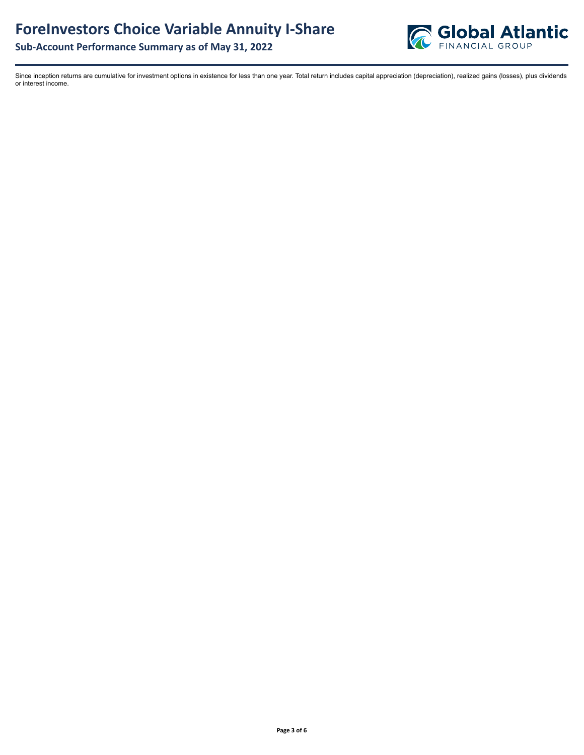

Since inception returns are cumulative for investment options in existence for less than one year. Total return includes capital appreciation (depreciation), realized gains (losses), plus dividends or interest income.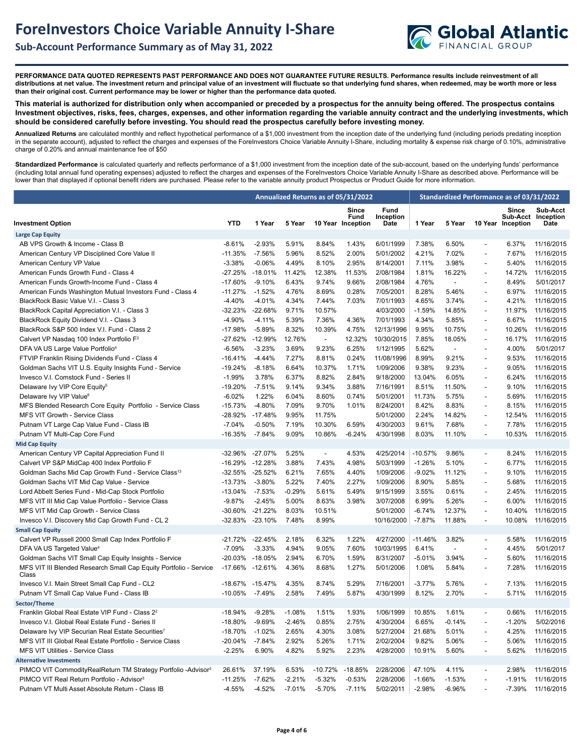

**PERFORMANCE DATA QUOTED REPRESENTS PAST PERFORMANCE AND DOES NOT GUARANTEE FUTURE RESULTS. Performance results include reinvestment of all distributions at net value. The investment return and principal value of an investment will fluctuate so that underlying fund shares, when redeemed, may be worth more or less than their original cost. Current performance may be lower or higher than the performance data quoted.**

**This material is authorized for distribution only when accompanied or preceded by a prospectus for the annuity being offered. The prospectus contains Investment objectives, risks, fees, charges, expenses, and other information regarding the variable annuity contract and the underlying investments, which should be considered carefully before investing. You should read the prospectus carefully before investing money.** 

**Annualized Returns** are calculated monthly and reflect hypothetical performance of a \$1,000 investment from the inception date of the underlying fund (including periods predating inception in the separate account), adjusted to reflect the charges and expenses of the ForeInvestors Choice Variable Annuity I-Share, including mortality & expense risk charge of 0.10%, administrative charge of 0.20% and annual maintenance fee of \$50

Standardized Performance is calculated quarterly and reflects performance of a \$1,000 investment from the inception date of the sub-account, based on the underlying funds' performance (including total annual fund operating expenses) adjusted to reflect the charges and expenses of the ForeInvestors Choice Variable Annuity I-Share as described above. Performance will be lower than that displayed if optional benefit riders are purchased. Please refer to the variable annuity product Prospectus or Product Guide for more information.

|                                                                            |                 |                 | Annualized Returns as of 05/31/2022 |                          |                                    |                           |           | Standardized Performance as of 03/31/2022 |                          |                            |                                        |  |
|----------------------------------------------------------------------------|-----------------|-----------------|-------------------------------------|--------------------------|------------------------------------|---------------------------|-----------|-------------------------------------------|--------------------------|----------------------------|----------------------------------------|--|
| <b>Investment Option</b>                                                   | <b>YTD</b>      | 1 Year          | 5 Year                              |                          | Since<br>Fund<br>10 Year Inception | Fund<br>Inception<br>Date | 1 Year    | 5 Year                                    |                          | Since<br>10 Year Inception | Sub-Acct<br>Sub-Acct Inception<br>Date |  |
| <b>Large Cap Equity</b>                                                    |                 |                 |                                     |                          |                                    |                           |           |                                           |                          |                            |                                        |  |
| AB VPS Growth & Income - Class B                                           | $-8.61%$        | $-2.93%$        | 5.91%                               | 8.84%                    | 1.43%                              | 6/01/1999                 | 7.38%     | 6.50%                                     | $\blacksquare$           | 6.37%                      | 11/16/2015                             |  |
| American Century VP Disciplined Core Value II                              | $-11.35%$       | $-7.56%$        | 5.96%                               | 8.52%                    | 2.00%                              | 5/01/2002                 | 4.21%     | 7.02%                                     | $\overline{\phantom{a}}$ | 7.67%                      | 11/16/2015                             |  |
| American Century VP Value                                                  | $-3.38%$        | $-0.06%$        | 4.49%                               | 8.10%                    | 2.95%                              | 8/14/2001                 | 7.11%     | 3.98%                                     | $\overline{\phantom{a}}$ | 5.40%                      | 11/16/2015                             |  |
| American Funds Growth Fund - Class 4                                       | -27.25%         | $-18.01%$       | 11.42%                              | 12.38%                   | 11.53%                             | 2/08/1984                 | 1.81%     | 16.22%                                    | $\overline{\phantom{a}}$ | 14.72%                     | 11/16/2015                             |  |
| American Funds Growth-Income Fund - Class 4                                | $-17.60%$       | $-9.10%$        | 6.43%                               | 9.74%                    | 9.66%                              | 2/08/1984                 | 4.76%     | $\overline{\phantom{a}}$                  | $\overline{\phantom{a}}$ | 8.49%                      | 5/01/2017                              |  |
| American Funds Washington Mutual Investors Fund - Class 4                  | $-11.27%$       | $-1.52%$        | 4.76%                               | 8.69%                    | 0.28%                              | 7/05/2001                 | 8.28%     | 5.46%                                     | $\overline{\phantom{a}}$ | 6.97%                      | 11/16/2015                             |  |
| BlackRock Basic Value V.I. - Class 3                                       | $-4.40%$        | $-4.01%$        | 4.34%                               | 7.44%                    | 7.03%                              | 7/01/1993                 | 4.65%     | 3.74%                                     | $\overline{\phantom{a}}$ | 4.21%                      | 11/16/2015                             |  |
|                                                                            |                 |                 |                                     |                          |                                    |                           |           |                                           |                          |                            |                                        |  |
| BlackRock Capital Appreciation V.I. - Class 3                              | -32.23%         | $-22.68%$       | 9.71%                               | 10.57%                   |                                    | 4/03/2000                 | $-1.59%$  | 14.85%                                    | $\overline{\phantom{a}}$ | 11.97%                     | 11/16/2015                             |  |
| BlackRock Equity Dividend V.I. - Class 3                                   | $-4.90%$        | $-4.11%$        | 5.39%                               | 7.36%                    | 4.36%                              | 7/01/1993                 | 4.34%     | 5.85%                                     | $\overline{\phantom{a}}$ | 6.67%                      | 11/16/2015                             |  |
| BlackRock S&P 500 Index V.I. Fund - Class 2                                | -17.98%         | $-5.89%$        | 8.32%                               | 10.39%                   | 4.75%                              | 12/13/1996                | 9.95%     | 10.75%                                    | $\overline{\phantom{a}}$ | 10.26%                     | 11/16/2015                             |  |
| Calvert VP Nasdaq 100 Index Portfolio F <sup>2</sup>                       | -27.62%         | $-12.99%$       | 12.76%                              | $\overline{\phantom{a}}$ | 12.32%                             | 10/30/2015                | 7.85%     | 18.05%                                    | $\overline{\phantom{a}}$ | 16.17%                     | 11/16/2015                             |  |
| DFA VA US Large Value Portfolio <sup>4</sup>                               | $-6.56%$        | $-3.23%$        | 3.69%                               | 9.23%                    | 6.25%                              | 1/12/1995                 | 5.62%     | $\overline{a}$                            | $\overline{\phantom{a}}$ | 4.00%                      | 5/01/2017                              |  |
| FTVIP Franklin Rising Dividends Fund - Class 4                             | $-16.41%$       | $-4.44%$        | 7.27%                               | 8.81%                    | 0.24%                              | 11/08/1996                | 8.99%     | 9.21%                                     | $\overline{\phantom{a}}$ | 9.53%                      | 11/16/2015                             |  |
| Goldman Sachs VIT U.S. Equity Insights Fund - Service                      | $-19.24%$       | $-8.18%$        | 6.64%                               | 10.37%                   | 1.71%                              | 1/09/2006                 | 9.38%     | 9.23%                                     | $\blacksquare$           | 9.05%                      | 11/16/2015                             |  |
| Invesco V.I. Comstock Fund - Series II                                     | $-1.99%$        | 3.78%           | 6.37%                               | 8.82%                    | 2.84%                              | 9/18/2000                 | 13.04%    | 6.05%                                     | $\overline{\phantom{a}}$ | 6.24%                      | 11/16/2015                             |  |
| Delaware Ivy VIP Core Equity <sup>5</sup>                                  | -19.20%         | $-7.51%$        | 9.14%                               | 9.34%                    | 3.88%                              | 7/16/1991                 | 8.51%     | 11.50%                                    | $\overline{\phantom{a}}$ | 9.10%                      | 11/16/2015                             |  |
| Delaware Ivy VIP Value <sup>6</sup>                                        | $-6.02%$        | 1.22%           | 6.04%                               | 8.60%                    | 0.74%                              | 5/01/2001                 | 11.73%    | 5.75%                                     | $\overline{\phantom{a}}$ | 5.69%                      | 11/16/2015                             |  |
| MFS Blended Research Core Equity Portfolio - Service Class                 | $-15.73%$       | $-4.80%$        | 7.09%                               | 9.70%                    | 1.01%                              | 8/24/2001                 | 8.42%     | 8.83%                                     | $\overline{\phantom{a}}$ | 8.15%                      | 11/16/2015                             |  |
| MFS VIT Growth - Service Class                                             | -28.92%         | $-17.48%$       | 9.95%                               | 11.75%                   |                                    | 5/01/2000                 | 2.24%     | 14.82%                                    | $\overline{\phantom{a}}$ | 12.54%                     | 11/16/2015                             |  |
| Putnam VT Large Cap Value Fund - Class IB                                  | $-7.04%$        | $-0.50%$        | 7.19%                               | 10.30%                   | 6.59%                              | 4/30/2003                 | 9.61%     | 7.68%                                     | $\blacksquare$           | 7.78%                      | 11/16/2015                             |  |
| Putnam VT Multi-Cap Core Fund                                              | -16.35%         | $-7.84%$        | 9.09%                               | 10.86%                   | $-6.24%$                           | 4/30/1998                 | 8.03%     | 11.10%                                    | $\overline{\phantom{a}}$ | 10.53%                     | 11/16/2015                             |  |
| <b>Mid Cap Equity</b>                                                      |                 |                 |                                     |                          |                                    |                           |           |                                           |                          |                            |                                        |  |
| American Century VP Capital Appreciation Fund II                           | -32.96%         | $-27.07%$       | 5.25%                               | $\blacksquare$           | 4.53%                              | 4/25/2014                 | -10.57%   | 9.86%                                     | $\overline{\phantom{a}}$ | 8.24%                      | 11/16/2015                             |  |
| Calvert VP S&P MidCap 400 Index Portfolio F                                |                 | -16.29% -12.28% | 3.88%                               | 7.43%                    | 4.98%                              | 5/03/1999                 | $-1.26%$  | 5.10%                                     | $\overline{\phantom{a}}$ | 6.77%                      | 11/16/2015                             |  |
| Goldman Sachs Mid Cap Growth Fund - Service Class <sup>13</sup>            | -32.55%         | $-25.52%$       | 6.21%                               | 7.65%                    | 4.40%                              | 1/09/2006                 | $-9.02%$  | 11.12%                                    | $\overline{\phantom{a}}$ | 9.10%                      | 11/16/2015                             |  |
| Goldman Sachs VIT Mid Cap Value - Service                                  | -13.73%         | $-3.80%$        | 5.22%                               | 7.40%                    | 2.27%                              | 1/09/2006                 | 8.90%     | 5.85%                                     | $\blacksquare$           | 5.68%                      | 11/16/2015                             |  |
| Lord Abbett Series Fund - Mid-Cap Stock Portfolio                          | $-13.04\%$      | $-7.53%$        | $-0.29%$                            | 5.61%                    | 5.49%                              | 9/15/1999                 | 3.55%     | 0.61%                                     | $\overline{\phantom{a}}$ | 2.45%                      | 11/16/2015                             |  |
| MFS VIT III Mid Cap Value Portfolio - Service Class                        | $-9.87%$        | $-2.45%$        | 5.00%                               | 8.63%                    | 3.98%                              | 3/07/2008                 | 6.99%     | 5.26%                                     | $\overline{\phantom{a}}$ | 6.00%                      | 11/16/2015                             |  |
| MFS VIT Mid Cap Growth - Service Class                                     | -30.60%         | $-21.22%$       | 8.03%                               | 10.51%                   |                                    | 5/01/2000                 | $-6.74%$  | 12.37%                                    | $\overline{\phantom{a}}$ | 10.40%                     | 11/16/2015                             |  |
| Invesco V.I. Discovery Mid Cap Growth Fund - CL 2                          |                 | -32.83% -23.10% | 7.48%                               | 8.99%                    |                                    | 10/16/2000                | $-7.87%$  | 11.88%                                    | $\overline{\phantom{a}}$ |                            | 10.08% 11/16/2015                      |  |
| <b>Small Cap Equity</b>                                                    |                 |                 |                                     |                          |                                    |                           |           |                                           |                          |                            |                                        |  |
| Calvert VP Russell 2000 Small Cap Index Portfolio F                        | -21.72%         | $-22.45%$       | 2.18%                               | 6.32%                    | 1.22%                              | 4/27/2000                 | $-11.46%$ | 3.82%                                     | $\overline{\phantom{a}}$ | 5.58%                      | 11/16/2015                             |  |
| DFA VA US Targeted Value <sup>4</sup>                                      | $-7.09%$        | $-3.33%$        | 4.94%                               | 9.05%                    | 7.60%                              | 10/03/1995                | 6.41%     | $\overline{a}$                            | $\overline{\phantom{a}}$ | 4.45%                      | 5/01/2017                              |  |
| Goldman Sachs VIT Small Cap Equity Insights - Service                      | $-20.03%$       | $-18.05%$       | 2.94%                               | 6.70%                    | 1.59%                              | 8/31/2007                 | $-5.01%$  | 3.94%                                     | $\overline{\phantom{a}}$ | 5.60%                      | 11/16/2015                             |  |
| MFS VIT III Blended Research Small Cap Equity Portfolio - Service<br>Class | -17.66% -12.61% |                 | 4.36%                               | 8.68%                    | 1.27%                              | 5/01/2006                 | 1.08%     | 5.84%                                     | $\overline{\phantom{a}}$ | 7.28%                      | 11/16/2015                             |  |
| Invesco V.I. Main Street Small Cap Fund - CL2                              | -18.67%         | -15.47%         | 4.35%                               | 8.74%                    | 5.29%                              | 7/16/2001                 | $-3.77%$  | 5.76%                                     | $\overline{\phantom{a}}$ | 7.13%                      | 11/16/2015                             |  |
| Putnam VT Small Cap Value Fund - Class IB                                  | -10.05%         | $-7.49%$        | 2.58%                               | 7.49%                    | 5.87%                              | 4/30/1999                 | 8.12%     | 2.70%                                     | $\overline{\phantom{a}}$ | 5.71%                      | 11/16/2015                             |  |
| Sector/Theme                                                               |                 |                 |                                     |                          |                                    |                           |           |                                           |                          |                            |                                        |  |
| Franklin Global Real Estate VIP Fund - Class 2 <sup>2</sup>                | -18.94%         | $-9.28%$        | $-1.08%$                            | 1.51%                    | 1.93%                              | 1/06/1999                 | 10.85%    | 1.61%                                     | $\overline{a}$           | 0.66%                      | 11/16/2015                             |  |
| Invesco V.I. Global Real Estate Fund - Series II                           | -18.80%         | -9.69%          | $-2.46%$                            | 0.85%                    | 2.75%                              | 4/30/2004                 | 6.65%     | -0.14%                                    |                          | $-1.20%$                   | 5/02/2016                              |  |
| Delaware Ivy VIP Securian Real Estate Securities7                          | -18.70%         | $-1.02%$        | 2.65%                               | 4.30%                    | 3.08%                              | 5/27/2004                 | 21.68%    | 5.01%                                     |                          | 4.25%                      | 11/16/2015                             |  |
| MFS VIT III Global Real Estate Portfolio - Service Class                   | $-20.04%$       | $-7.84%$        | 2.92%                               | 5.26%                    | 1.71%                              | 2/02/2004                 | 9.82%     | 5.06%                                     | $\overline{\phantom{a}}$ | 5.06%                      | 11/16/2015                             |  |
| <b>MFS VIT Utilities - Service Class</b>                                   | $-2.25%$        | 6.90%           | 4.82%                               | 5.92%                    | 2.23%                              | 4/28/2000                 | 10.91%    | 5.60%                                     | $\overline{\phantom{a}}$ | 5.62%                      | 11/16/2015                             |  |
| <b>Alternative Investments</b>                                             |                 |                 |                                     |                          |                                    |                           |           |                                           |                          |                            |                                        |  |
| PIMCO VIT CommodityRealReturn TM Strategy Portfolio -Advisor <sup>3</sup>  | 26.61%          |                 | 6.53%                               | $-10.72%$                | $-18.85%$                          |                           |           | 4.11%                                     | $\overline{\phantom{a}}$ | 2.98%                      | 11/16/2015                             |  |
| PIMCO VIT Real Return Portfolio - Advisor <sup>3</sup>                     |                 | 37.19%          |                                     |                          |                                    | 2/28/2006                 | 47.10%    |                                           | $\overline{\phantom{a}}$ |                            |                                        |  |
|                                                                            | $-11.25%$       | $-7.62%$        | $-2.21%$                            | $-5.32%$                 | $-0.53%$                           | 2/28/2006                 | $-1.66%$  | $-1.53%$                                  |                          | $-1.91%$                   | 11/16/2015                             |  |
| Putnam VT Multi Asset Absolute Return - Class IB                           | $-4.55%$        | $-4.52%$        | $-7.01%$                            | $-5.70%$                 | $-7.11%$                           | 5/02/2011                 | $-2.98%$  | $-6.96%$                                  |                          | $-7.39%$                   | 11/16/2015                             |  |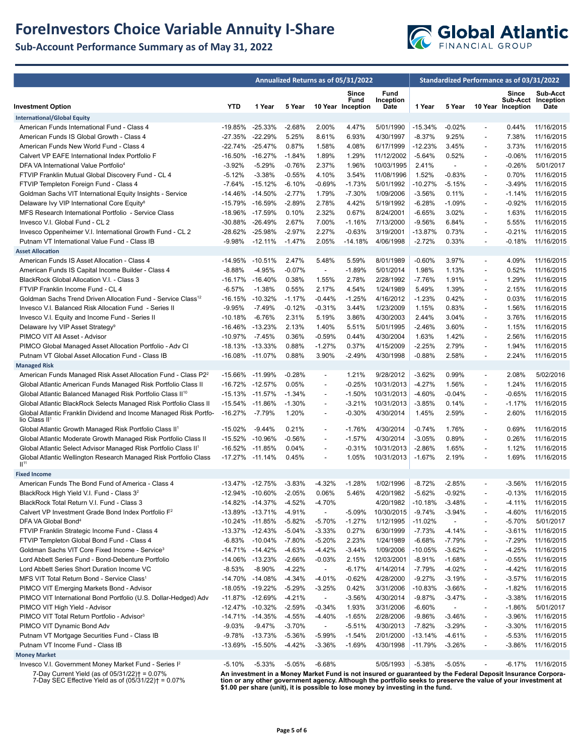# **ForeInvestors Choice Variable Annuity I-Share**

**Sub-Account Performance Summary as of May 31, 2022**



|                                                                                                               |            | Annualized Returns as of 05/31/2022 |                      |                                      |                                    |                           | Standardized Performance as of 03/31/2022 |                |                                            |                            |                                        |
|---------------------------------------------------------------------------------------------------------------|------------|-------------------------------------|----------------------|--------------------------------------|------------------------------------|---------------------------|-------------------------------------------|----------------|--------------------------------------------|----------------------------|----------------------------------------|
| <b>Investment Option</b>                                                                                      | <b>YTD</b> | 1 Year                              | 5 Year               |                                      | Since<br>Fund<br>10 Year Inception | Fund<br>Inception<br>Date | 1 Year                                    | 5 Year         |                                            | Since<br>10 Year Inception | Sub-Acct<br>Sub-Acct Inception<br>Date |
| <b>International/Global Equity</b>                                                                            |            |                                     |                      |                                      |                                    |                           |                                           |                |                                            |                            |                                        |
| American Funds International Fund - Class 4                                                                   | -19.85%    | $-25.33\%$                          | $-2.68%$             | 2.00%                                | 4.47%                              | 5/01/1990                 | $-15.34%$                                 | $-0.02%$       | $\overline{a}$                             | 0.44%                      | 11/16/2015                             |
| American Funds IS Global Growth - Class 4                                                                     | -27.35%    | $-22.29%$                           | 5.25%                | 8.61%                                | 6.93%                              | 4/30/1997                 | $-8.37%$                                  | 9.25%          | $\overline{a}$                             | 7.38%                      | 11/16/2015                             |
| American Funds New World Fund - Class 4                                                                       | $-22.74%$  | $-25.47%$                           | 0.87%                | 1.58%                                | 4.08%                              | 6/17/1999                 | -12.23%                                   | 3.45%          | $\overline{\phantom{a}}$                   | 3.73%                      | 11/16/2015                             |
| Calvert VP EAFE International Index Portfolio F                                                               | $-16.50%$  | $-16.27%$                           | $-1.84%$             | 1.89%                                | 1.29%                              | 11/12/2002                | $-5.64%$                                  | 0.52%          | $\overline{a}$                             | $-0.06%$                   | 11/16/2015                             |
| DFA VA International Value Portfolio <sup>4</sup>                                                             | $-3.92%$   | $-5.29%$                            | $-0.76%$             | 2.37%                                | 1.96%                              | 10/03/1995                | 2.41%                                     | $\blacksquare$ | $\overline{a}$                             | $-0.26%$                   | 5/01/2017                              |
| FTVIP Franklin Mutual Global Discovery Fund - CL 4                                                            | $-5.12%$   | $-3.38%$                            | $-0.55%$             | 4.10%                                | 3.54%                              | 11/08/1996                | 1.52%                                     | $-0.83%$       | $\overline{\phantom{a}}$                   | 0.70%                      | 11/16/2015                             |
| FTVIP Templeton Foreign Fund - Class 4                                                                        | $-7.64%$   | $-15.12%$                           | $-6.10%$             | $-0.69%$                             | $-1.73%$                           | 5/01/1992                 | -10.27%                                   | $-5.15%$       | $\overline{\phantom{a}}$                   | $-3.49%$                   | 11/16/2015                             |
| Goldman Sachs VIT International Equity Insights - Service                                                     | $-14.46%$  | -14.50%                             | $-2.77%$             | 1.79%                                | $-7.30%$                           | 1/09/2006                 | $-3.56%$                                  | 0.11%          | $\overline{a}$                             | $-1.14%$                   | 11/16/2015                             |
| Delaware Ivy VIP International Core Equity <sup>8</sup>                                                       | $-15.79%$  | -16.59%                             | $-2.89%$             | 2.78%                                | 4.42%                              | 5/19/1992                 | $-6.28%$                                  | $-1.09%$       | $\overline{a}$                             | $-0.92%$                   | 11/16/2015                             |
| MFS Research International Portfolio - Service Class                                                          | -18.96%    | -17.59%                             | 0.10%                | 2.32%                                | 0.67%                              | 8/24/2001                 | $-6.65%$                                  | 3.02%          | $\overline{\phantom{a}}$                   | 1.63%                      | 11/16/2015                             |
| Invesco V.I. Global Fund - CL 2                                                                               | -30.88%    | -26.49%                             | 2.67%                | 7.00%                                | $-1.16%$                           | 7/13/2000                 | $-9.56%$                                  | 6.84%          | $\overline{\phantom{a}}$                   | 5.55%                      | 11/16/2015                             |
| Invesco Oppenheimer V.I. International Growth Fund - CL 2                                                     | -28.62%    | $-25.98%$                           | $-2.97%$             | 2.27%                                | $-0.63%$                           | 3/19/2001                 | -13.87%                                   | 0.73%          | $\overline{a}$                             | $-0.21%$                   | 11/16/2015                             |
| Putnam VT International Value Fund - Class IB                                                                 | -9.98%     | $-12.11%$                           | $-1.47%$             | 2.05%                                | $-14.18%$                          | 4/06/1998                 | $-2.72%$                                  | 0.33%          | $\overline{a}$                             | $-0.18%$                   | 11/16/2015                             |
| <b>Asset Allocation</b>                                                                                       |            |                                     |                      |                                      |                                    |                           |                                           |                |                                            |                            |                                        |
| American Funds IS Asset Allocation - Class 4                                                                  | $-14.95%$  | $-10.51%$                           | 2.47%                | 5.48%                                | 5.59%                              | 8/01/1989                 | $-0.60%$                                  | 3.97%          | $\overline{\phantom{a}}$                   | 4.09%                      | 11/16/2015                             |
| American Funds IS Capital Income Builder - Class 4                                                            | $-8.88%$   | $-4.95%$                            | $-0.07%$             | $\sim$                               | $-1.89%$                           | 5/01/2014                 | 1.98%                                     | 1.13%          | $\overline{\phantom{a}}$                   | 0.52%                      | 11/16/2015                             |
| BlackRock Global Allocation V.I. - Class 3                                                                    | $-16.17%$  | -16.40%                             | 0.38%                | 1.55%                                | 2.78%                              | 2/28/1992                 | $-7.76%$                                  | 1.91%          | $\blacksquare$                             | 1.29%                      | 11/16/2015                             |
| FTVIP Franklin Income Fund - CL 4                                                                             | $-6.57%$   | $-1.38%$                            | 0.55%                | 2.17%                                | 4.54%                              | 1/24/1989                 | 5.49%                                     | 1.39%          | $\overline{\phantom{a}}$                   | 2.15%                      | 11/16/2015                             |
| Goldman Sachs Trend Driven Allocation Fund - Service Class <sup>12</sup>                                      | $-16.15%$  | $-10.32%$                           | $-1.17%$             | $-0.44%$                             | $-1.25%$                           | 4/16/2012                 | $-1.23%$                                  | 0.42%          | $\overline{\phantom{a}}$                   | 0.03%                      | 11/16/2015                             |
| Invesco V.I. Balanced Risk Allocation Fund - Series II                                                        | $-9.95%$   | $-7.49%$                            | $-0.12%$             | $-0.31%$                             | 3.44%                              | 1/23/2009                 | 1.15%                                     | 0.83%          | $\overline{\phantom{a}}$                   | 1.56%                      | 11/16/2015                             |
| Invesco V.I. Equity and Income Fund - Series II                                                               | $-10.18%$  | $-6.76%$                            | 2.31%                | 5.19%                                | 3.86%                              | 4/30/2003                 | 2.44%                                     | 3.04%          | $\overline{\phantom{a}}$                   | 3.76%                      | 11/16/2015                             |
| Delaware Ivy VIP Asset Strategy <sup>9</sup>                                                                  | -16.46%    | $-13.23%$<br>$-7.45%$               | 2.13%                | 1.40%                                | 5.51%                              | 5/01/1995                 | $-2.46%$                                  | 3.60%          | $\overline{\phantom{a}}$                   | 1.15%                      | 11/16/2015                             |
| PIMCO VIT All Asset - Advisor                                                                                 | $-10.97%$  |                                     | 0.36%                | $-0.59%$                             | 0.44%                              | 4/30/2004                 | 1.63%                                     | 1.42%          | $\overline{a}$                             | 2.56%                      | 11/16/2015                             |
| PIMCO Global Managed Asset Allocation Portfolio - Adv Cl<br>Putnam VT Global Asset Allocation Fund - Class IB |            | -18.13% -13.33%<br>$-11.07%$        | 0.88%<br>0.88%       | $-1.27%$<br>3.90%                    | 0.37%<br>$-2.49%$                  | 4/15/2009                 | $-2.25%$                                  | 2.79%<br>2.58% | $\overline{\phantom{a}}$<br>$\overline{a}$ | 1.94%<br>2.24%             | 11/16/2015                             |
|                                                                                                               | $-16.08%$  |                                     |                      |                                      |                                    | 4/30/1998                 | $-0.88%$                                  |                |                                            |                            | 11/16/2015                             |
| <b>Managed Risk</b><br>American Funds Managed Risk Asset Allocation Fund - Class P2 <sup>2</sup>              |            | -15.66% -11.99%                     | $-0.28%$             | $\overline{\phantom{a}}$             | 1.21%                              | 9/28/2012                 | $-3.62%$                                  | 0.99%          | $\overline{\phantom{a}}$                   | 2.08%                      | 5/02/2016                              |
| Global Atlantic American Funds Managed Risk Portfolio Class II                                                | -16.72%    | -12.57%                             | 0.05%                | $\overline{\phantom{a}}$             | $-0.25%$                           | 10/31/2013                | $-4.27%$                                  | 1.56%          | $\overline{\phantom{a}}$                   | 1.24%                      | 11/16/2015                             |
| Global Atlantic Balanced Managed Risk Portfolio Class II <sup>10</sup>                                        |            | -15.13% -11.57%                     | $-1.34%$             | $\overline{a}$                       | $-1.50%$                           | 10/31/2013                | $-4.60%$                                  | $-0.04%$       | $\overline{a}$                             | $-0.65%$                   | 11/16/2015                             |
| Global Atlantic BlackRock Selects Managed Risk Portfolio Class II                                             | $-15.54%$  | -11.86%                             | $-1.30%$             | $\overline{a}$                       | $-3.21%$                           | 10/31/2013                | $-3.85%$                                  | 0.14%          | $\overline{a}$                             | $-1.17%$                   | 11/16/2015                             |
| Global Atlantic Franklin Dividend and Income Managed Risk Portfo-                                             | $-16.27%$  | $-7.79%$                            | 1.20%                | $\overline{\phantom{0}}$             | $-0.30%$                           | 4/30/2014                 | 1.45%                                     | 2.59%          | $\overline{a}$                             | 2.60%                      | 11/16/2015                             |
| lio Class II <sup>1</sup>                                                                                     |            |                                     |                      |                                      |                                    |                           |                                           |                |                                            |                            |                                        |
| Global Atlantic Growth Managed Risk Portfolio Class II <sup>1</sup>                                           | $-15.02%$  | $-9.44%$                            | 0.21%                | $\overline{\phantom{a}}$             | $-1.76%$                           | 4/30/2014                 | $-0.74%$                                  | 1.76%          | $\overline{a}$                             | 0.69%                      | 11/16/2015                             |
| Global Atlantic Moderate Growth Managed Risk Portfolio Class II                                               | $-15.52%$  | $-10.96%$                           | $-0.56%$             | $\overline{\phantom{a}}$             | $-1.57%$                           | 4/30/2014                 | $-3.05%$                                  | 0.89%          | $\overline{\phantom{a}}$                   | 0.26%                      | 11/16/2015                             |
| Global Atlantic Select Advisor Managed Risk Portfolio Class II <sup>1</sup>                                   | $-16.52%$  | $-11.85%$                           | 0.04%                | $\overline{a}$                       | $-0.31%$                           | 10/31/2013                | $-2.86%$                                  | 1.65%          | $\overline{a}$                             | 1.12%                      | 11/16/2015                             |
| Global Atlantic Wellington Research Managed Risk Portfolio Class                                              | $-17.27%$  | $-11.14%$                           | 0.45%                | $\overline{a}$                       | 1.05%                              | 10/31/2013                | $-1.67%$                                  | 2.19%          | $\overline{a}$                             | 1.69%                      | 11/16/2015                             |
| II <sup>11</sup>                                                                                              |            |                                     |                      |                                      |                                    |                           |                                           |                |                                            |                            |                                        |
| <b>Fixed Income</b>                                                                                           |            |                                     |                      |                                      |                                    |                           |                                           |                |                                            |                            |                                        |
| American Funds The Bond Fund of America - Class 4                                                             |            | -13.47% -12.75%                     | $-3.83%$             | $-4.32%$                             | $-1.28%$                           | 1/02/1996                 | $-8.72%$                                  | $-2.85%$       | $\overline{\phantom{a}}$                   | $-3.56%$                   | 11/16/2015                             |
| BlackRock High Yield V.I. Fund - Class 3 <sup>2</sup>                                                         |            | -12.94% -10.60%                     | $-2.05%$             | 0.06%                                | 5.46%                              | 4/20/1982                 | $-5.62%$                                  | $-0.92%$       | $\overline{a}$                             | $-0.13%$                   | 11/16/2015                             |
| BlackRock Total Return V.I. Fund - Class 3<br>Calvert VP Investment Grade Bond Index Portfolio F <sup>2</sup> |            | -14.82% -14.37%                     | $-4.52%$             | $-4.70%$<br>$\overline{\phantom{a}}$ |                                    | 4/20/1982                 | $-10.18%$                                 | $-3.48%$       |                                            | -4.11%                     | 11/16/2015                             |
| DFA VA Global Bond <sup>4</sup>                                                                               | -10.24%    | -13.89% -13.71%<br>-11.85%          | $-4.91%$<br>$-5.82%$ | $-5.70%$                             | $-5.09%$<br>$-1.27%$               | 10/30/2015<br>1/12/1995   | $-9.74%$<br>$-11.02%$                     | -3.94%         | $\overline{a}$                             | $-4.60%$<br>$-5.70%$       | 11/16/2015<br>5/01/2017                |
| FTVIP Franklin Strategic Income Fund - Class 4                                                                |            | -13.37% -12.43%                     | $-5.04%$             | $-3.33%$                             | 0.27%                              | 6/30/1999                 | $-7.73%$                                  | $-4.14%$       | $\overline{a}$                             | $-3.61%$                   | 11/16/2015                             |
| FTVIP Templeton Global Bond Fund - Class 4                                                                    | $-6.83%$   | $-10.04%$                           | $-7.80%$             | $-5.20%$                             | 2.23%                              | 1/24/1989                 | $-6.68%$                                  | -7.79%         | $\overline{a}$                             | $-7.29%$                   | 11/16/2015                             |
| Goldman Sachs VIT Core Fixed Income - Service <sup>3</sup>                                                    |            | -14.71% -14.42%                     | $-4.63%$             | $-4.42%$                             | $-3.44%$                           | 1/09/2006                 | $-10.05%$                                 | $-3.62%$       | $\overline{a}$                             | $-4.25%$                   | 11/16/2015                             |
| Lord Abbett Series Fund - Bond-Debenture Portfolio                                                            |            | -14.06% -13.23%                     | $-2.66%$             | $-0.03%$                             | 2.15%                              | 12/03/2001                | $-8.91%$                                  | $-1.68%$       | $\overline{a}$                             | $-0.55%$                   | 11/16/2015                             |
| Lord Abbett Series Short Duration Income VC                                                                   | $-8.53%$   | $-8.90%$                            | $-4.22%$             | $\overline{\phantom{a}}$             | $-6.17%$                           | 4/14/2014                 | $-7.79%$                                  | $-4.02%$       | $\overline{\phantom{a}}$                   | $-4.42%$                   | 11/16/2015                             |
| MFS VIT Total Return Bond - Service Class <sup>1</sup>                                                        |            | -14.70% -14.08%                     | $-4.34%$             | $-4.01%$                             | $-0.62%$                           | 4/28/2000                 | $-9.27%$                                  | $-3.19%$       | $\overline{a}$                             | $-3.57%$                   | 11/16/2015                             |
| PIMCO VIT Emerging Markets Bond - Advisor                                                                     |            | -18.05% -19.22%                     | $-5.29%$             | -3.25%                               | 0.42%                              | 3/31/2006                 | $-10.83%$                                 | $-3.66%$       | $\overline{a}$                             | $-1.82%$                   | 11/16/2015                             |
| PIMCO VIT International Bond Portfolio (U.S. Dollar-Hedged) Adv                                               |            | -11.87% -12.69%                     | $-4.21%$             | $\overline{\phantom{a}}$             | $-3.56%$                           | 4/30/2014                 | $-9.87%$                                  | $-3.47%$       | $\overline{a}$                             | $-3.38%$                   | 11/16/2015                             |
| PIMCO VIT High Yield - Advisor                                                                                |            | -12.47% -10.32%                     | $-2.59%$             | $-0.34%$                             | 1.93%                              | 3/31/2006                 | $-6.60%$                                  |                |                                            | $-1.86%$                   | 5/01/2017                              |
| PIMCO VIT Total Return Portfolio - Advisor <sup>3</sup>                                                       |            | -14.71% -14.35%                     | $-4.55%$             | $-4.40%$                             | $-1.65%$                           | 2/28/2006                 | $-9.86%$                                  | $-3.46%$       | $\overline{a}$                             | $-3.96%$                   | 11/16/2015                             |
| PIMCO VIT Dynamic Bond Adv                                                                                    | $-9.03%$   | $-9.47%$                            | $-3.70%$             | $\overline{\phantom{a}}$             | $-5.51%$                           | 4/30/2013                 | $-7.82%$                                  | -3.29%         | $\overline{\phantom{a}}$                   | $-3.30%$                   | 11/16/2015                             |
| Putnam VT Mortgage Securities Fund - Class IB                                                                 | $-9.78%$   | $-13.73%$                           | -5.36%               | $-5.99%$                             | $-1.54%$                           | 2/01/2000                 | $-13.14%$                                 | -4.61%         | $\overline{a}$                             | $-5.53%$                   | 11/16/2015                             |
| Putnam VT Income Fund - Class IB                                                                              |            | -13.69% -15.50%                     | $-4.42%$             | $-3.36%$                             | $-1.69%$                           | 4/30/1998                 | -11.79%                                   | $-3.26%$       | $\overline{\phantom{a}}$                   | $-3.86%$                   | 11/16/2015                             |
| <b>Money Market</b>                                                                                           |            |                                     |                      |                                      |                                    |                           |                                           |                |                                            |                            |                                        |
| Invesco V.I. Government Money Market Fund - Series I <sup>2</sup>                                             | $-5.10%$   | $-5.33%$                            | $-5.05%$             | $-6.68%$                             |                                    | 5/05/1993 -5.38%          |                                           | $-5.05%$       | $\overline{\phantom{a}}$                   | -6.17%                     | 11/16/2015                             |

7-Day Current Yield (as of 05/31/22)† = 0.07% 7-Day SEC Effective Yield as of (05/31/22)† = 0.07%

An investment in a Money Market Fund is not insured or guaranteed by the Federal Deposit Insurance Corpora-<br>tion or any other government agency. Although the portfolio seeks to preserve the value of your investment at<br>\$1.0